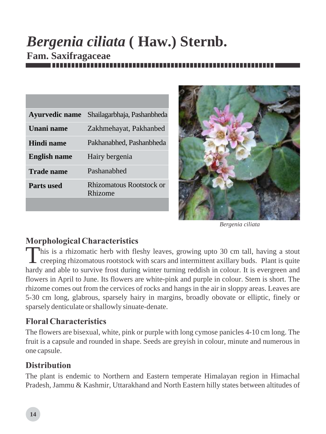# *Bergenia ciliata* **( Haw.) Sternb. Fam. Saxifragaceae**

| <b>Ayurvedic name</b> | Shailagarbhaja, Pashanbheda         |
|-----------------------|-------------------------------------|
| <b>Unani name</b>     | Zakhmehayat, Pakhanbed              |
| Hindi name            | Pakhanabhed, Pashanbheda            |
| <b>English name</b>   | Hairy bergenia                      |
| Trade name            | Pashanabhed                         |
| <b>Parts used</b>     | Rhizomatous Rootstock or<br>Rhizome |
|                       |                                     |



*Bergenia ciliata*

## *Morphological Characteristics*

This is a rhizomatic herb with fleshy leaves, growing upto 30 cm tall, having a stout creeping rhizomatous rootstock with scars and intermittent axillary buds. Plant is quite hardy and able to survive frost during winter turning reddish in colour. It is evergreen and flowers in April to June. Its flowers are white-pink and purple in colour. Stem is short. The rhizome comes out from the cervices of rocks and hangs in the air in sloppy areas. Leaves are 5-30 cm long, glabrous, sparsely hairy in margins, broadly obovate or elliptic, finely or sparsely denticulate or shallowly sinuate-denate.

## *Floral Characteristics*

The flowers are bisexual, white, pink or purple with long cymose panicles 4-10 cm long. The fruit is a capsule and rounded in shape. Seeds are greyish in colour, minute and numerous in one capsule.

#### *Distribution*

The plant is endemic to Northern and Eastern temperate Himalayan region in Himachal Pradesh, Jammu & Kashmir, Uttarakhand and North Eastern hilly states between altitudes of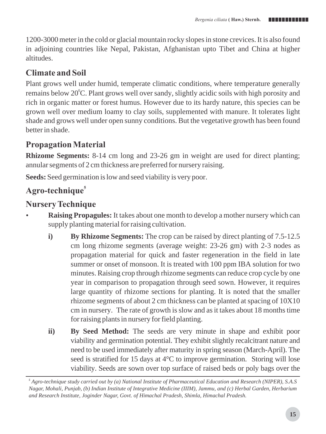1200-3000 meter in the cold or glacial mountain rocky slopes in stone crevices. It is also found in adjoining countries like Nepal, Pakistan, Afghanistan upto Tibet and China at higher altitudes.

# *Climate and Soil*

Plant grows well under humid, temperate climatic conditions, where temperature generally remains below 20°C. Plant grows well over sandy, slightly acidic soils with high porosity and rich in organic matter or forest humus. However due to its hardy nature, this species can be grown well over medium loamy to clay soils, supplemented with manure. It tolerates light shade and grows well under open sunny conditions. But the vegetative growth has been found better in shade.

## *Propagation Material*

**Rhizome Segments:** 8-14 cm long and 23-26 gm in weight are used for direct planting; annular segments of 2 cm thickness are preferred for nursery raising.

**Seeds:** Seed germination is low and seed viability is very poor.

# *<sup>5</sup> Agro-technique*

### *Nursery Technique*

- **Raising Propagules:** It takes about one month to develop a mother nursery which can supply planting material for raising cultivation.
	- **i) By Rhizome Segments:** The crop can be raised by direct planting of 7.5-12.5 cm long rhizome segments (average weight: 23-26 gm) with 2-3 nodes as propagation material for quick and faster regeneration in the field in late summer or onset of monsoon. It is treated with 100 ppm IBA solution for two minutes. Raising crop through rhizome segments can reduce crop cycle by one year in comparison to propagation through seed sown. However, it requires large quantity of rhizome sections for planting. It is noted that the smaller rhizome segments of about 2 cm thickness can be planted at spacing of 10X10 cm in nursery. The rate of growth is slow and as it takes about 18 months time for raising plants in nursery for field planting.
	- **ii) By Seed Method:** The seeds are very minute in shape and exhibit poor viability and germination potential. They exhibit slightly recalcitrant nature and need to be used immediately after maturity in spring season (March-April). The seed is stratified for 15 days at 4°C to improve germination. Storing will lose viability. Seeds are sown over top surface of raised beds or poly bags over the

*<sup>5</sup> Agro-technique study carried out by (a) National Institute of Pharmaceutical Education and Research (NIPER), S.A.S Nagar, Mohali, Punjab, (b) Indian Institute of Integrative Medicine (IIIM), Jammu, and (c) Herbal Garden, Herbarium and Research Institute, Joginder Nagar, Govt. of Himachal Pradesh, Shimla, Himachal Pradesh.*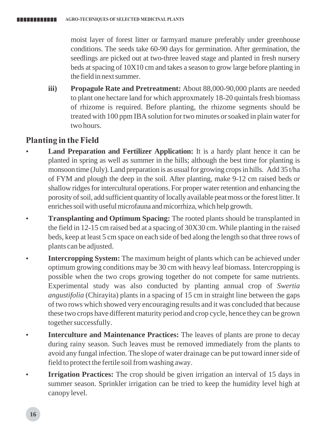moist layer of forest litter or farmyard manure preferably under greenhouse conditions. The seeds take 60-90 days for germination. After germination, the seedlings are picked out at two-three leaved stage and planted in fresh nursery beds at spacing of  $10X10$  cm and takes a season to grow large before planting in the field in next summer.

**iii) Propagule Rate and Pretreatment:** About 88,000-90,000 plants are needed to plant one hectare land for which approxmately 18-20 quintals fresh biomass of rhizome is required. Before planting, the rhizome segments should be treated with 100 ppm IBA solution for two minutes or soaked in plain water for two hours.

#### *Planting in the Field*

- **Land Preparation and Fertilizer Application:** It is a hardy plant hence it can be planted in spring as well as summer in the hills; although the best time for planting is monsoon time (July). Land preparation is as usual for growing crops in hills. Add 35 t/ha of FYM and plough the deep in the soil. After planting, make 9-12 cm raised beds or shallow ridges for intercultural operations. For proper water retention and enhancing the porosity of soil, add sufficient quantity of locally available peat moss or the forest litter. It enriches soil with useful microfauna and micorrhiza, which help growth.
- **Transplanting and Optimum Spacing:** The rooted plants should be transplanted in the field in 12-15 cm raised bed at a spacing of 30X30 cm. While planting in the raised beds, keep at least 5 cm space on each side of bed along the length so that three rows of plants can be adjusted.
- **Intercropping System:** The maximum height of plants which can be achieved under optimum growing conditions may be 30 cm with heavy leaf biomass. Intercropping is possible when the two crops growing together do not compete for same nutrients. Experimental study was also conducted by planting annual crop of *Swertia angustifolia* (Chirayita) plants in a spacing of 15 cm in straight line between the gaps of two rows which showed very encouraging results and it was concluded that because these two crops have different maturity period and crop cycle, hence they can be grown together successfully.
- **Interculture and Maintenance Practices:** The leaves of plants are prone to decay during rainy season. Such leaves must be removed immediately from the plants to avoid any fungal infection. The slope of water drainage can be put toward inner side of field to protect the fertile soil from washing away.
- **Irrigation Practices:** The crop should be given irrigation an interval of 15 days in summer season. Sprinkler irrigation can be tried to keep the humidity level high at canopy level.